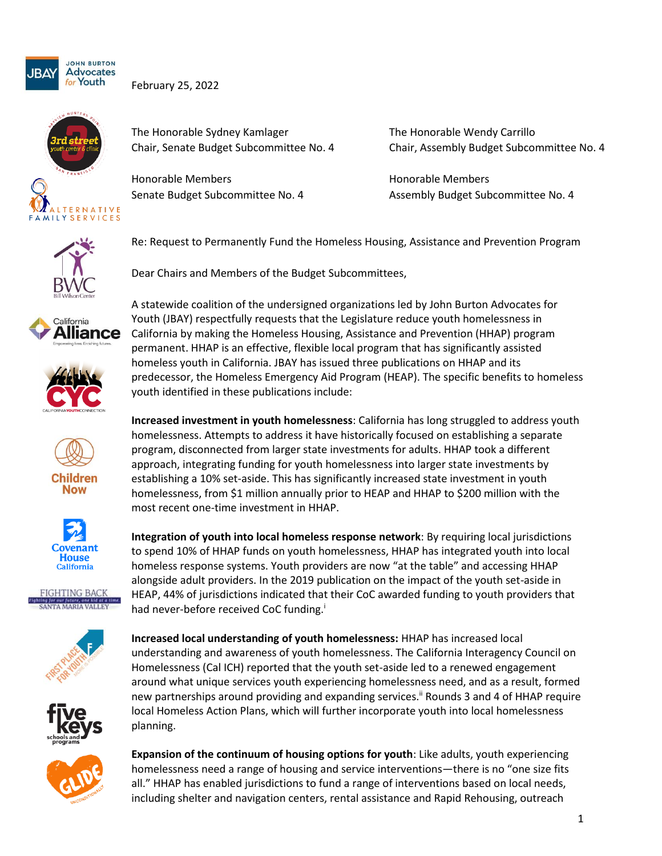

February 25, 2022



The Honorable Sydney Kamlager The Honorable Wendy Carrillo

Honorable Members **Honorable Members Honorable Members** 

Chair, Senate Budget Subcommittee No. 4 Chair, Assembly Budget Subcommittee No. 4

Senate Budget Subcommittee No. 4 Assembly Budget Subcommittee No. 4



Re: Request to Permanently Fund the Homeless Housing, Assistance and Prevention Program

Dear Chairs and Members of the Budget Subcommittees,

















A statewide coalition of the undersigned organizations led by John Burton Advocates for Youth (JBAY) respectfully requests that the Legislature reduce youth homelessness in California by making the Homeless Housing, Assistance and Prevention (HHAP) program permanent. HHAP is an effective, flexible local program that has significantly assisted homeless youth in California. JBAY has issued three publications on HHAP and its predecessor, the Homeless Emergency Aid Program (HEAP). The specific benefits to homeless youth identified in these publications include:

**Increased investment in youth homelessness**: California has long struggled to address youth homelessness. Attempts to address it have historically focused on establishing a separate program, disconnected from larger state investments for adults. HHAP took a different approach, integrating funding for youth homelessness into larger state investments by establishing a 10% set-aside. This has significantly increased state investment in youth homelessness, from \$1 million annually prior to HEAP and HHAP to \$200 million with the most recent one-time investment in HHAP.

**Integration of youth into local homeless response network**: By requiring local jurisdictions to spend 10% of HHAP funds on youth homelessness, HHAP has integrated youth into local homeless response systems. Youth providers are now "at the table" and accessing HHAP alongside adult providers. In the 2019 publication on the impact of the youth set-aside in HEAP, 44% of jurisdictions indicated that their CoC awarded funding to youth providers that had never-before received CoC funding.<sup>i</sup>

**Increased local understanding of youth homelessness:** HHAP has increased local understanding and awareness of youth homelessness. The California Interagency Council on Homelessness (Cal ICH) reported that the youth set-aside led to a renewed engagement around what unique services youth experiencing homelessness need, and as a result, formed new partnerships around providing and expanding services.<sup>ii</sup> Rounds 3 and 4 of HHAP require local Homeless Action Plans, which will further incorporate youth into local homelessness planning.

**Expansion of the continuum of housing options for youth**: Like adults, youth experiencing homelessness need a range of housing and service interventions—there is no "one size fits all." HHAP has enabled jurisdictions to fund a range of interventions based on local needs, including shelter and navigation centers, rental assistance and Rapid Rehousing, outreach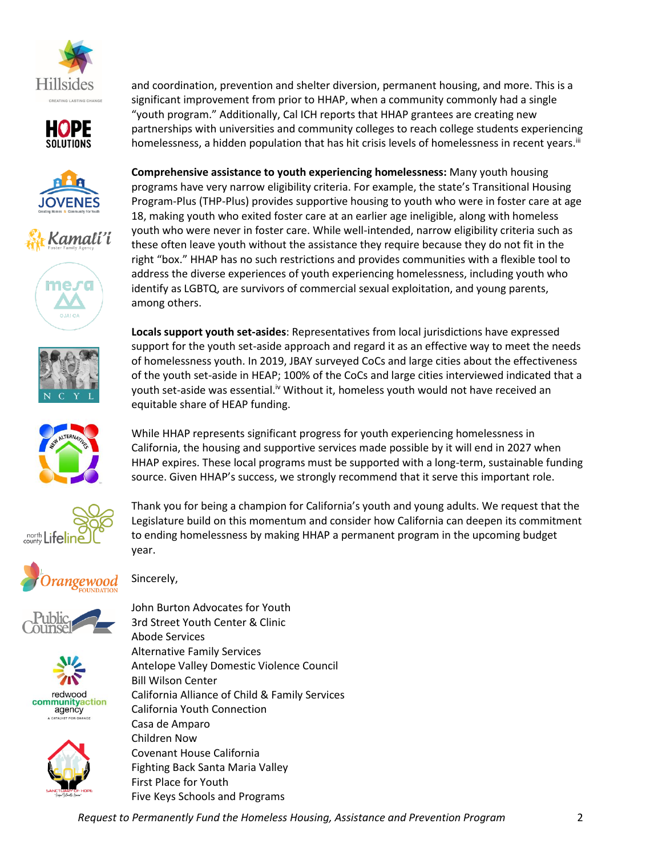























and coordination, prevention and shelter diversion, permanent housing, and more. This is a significant improvement from prior to HHAP, when a community commonly had a single "youth program." Additionally, Cal ICH reports that HHAP grantees are creating new partnerships with universities and community colleges to reach college students experiencing homelessness, a hidden population that has hit crisis levels of homelessness in recent years.<sup>iii</sup>

**Comprehensive assistance to youth experiencing homelessness:** Many youth housing programs have very narrow eligibility criteria. For example, the state's Transitional Housing Program-Plus (THP-Plus) provides supportive housing to youth who were in foster care at age 18, making youth who exited foster care at an earlier age ineligible, along with homeless youth who were never in foster care. While well-intended, narrow eligibility criteria such as these often leave youth without the assistance they require because they do not fit in the right "box." HHAP has no such restrictions and provides communities with a flexible tool to address the diverse experiences of youth experiencing homelessness, including youth who identify as LGBTQ, are survivors of commercial sexual exploitation, and young parents, among others.

**Locals support youth set-asides**: Representatives from local jurisdictions have expressed support for the youth set-aside approach and regard it as an effective way to meet the needs of homelessness youth. In 2019, JBAY surveyed CoCs and large cities about the effectiveness of the youth set-aside in HEAP; 100% of the CoCs and large cities interviewed indicated that a youth set-aside was essential.<sup>iv</sup> Without it, homeless youth would not have received an equitable share of HEAP funding.

While HHAP represents significant progress for youth experiencing homelessness in California, the housing and supportive services made possible by it will end in 2027 when HHAP expires. These local programs must be supported with a long-term, sustainable funding

source. Given HHAP's success, we strongly recommend that it serve this important role.

Sincerely,

John Burton Advocates for Youth 3rd Street Youth Center & Clinic Abode Services Alternative Family Services Antelope Valley Domestic Violence Council Bill Wilson Center California Alliance of Child & Family Services California Youth Connection Casa de Amparo Children Now Covenant House California Fighting Back Santa Maria Valley First Place for Youth Five Keys Schools and Programs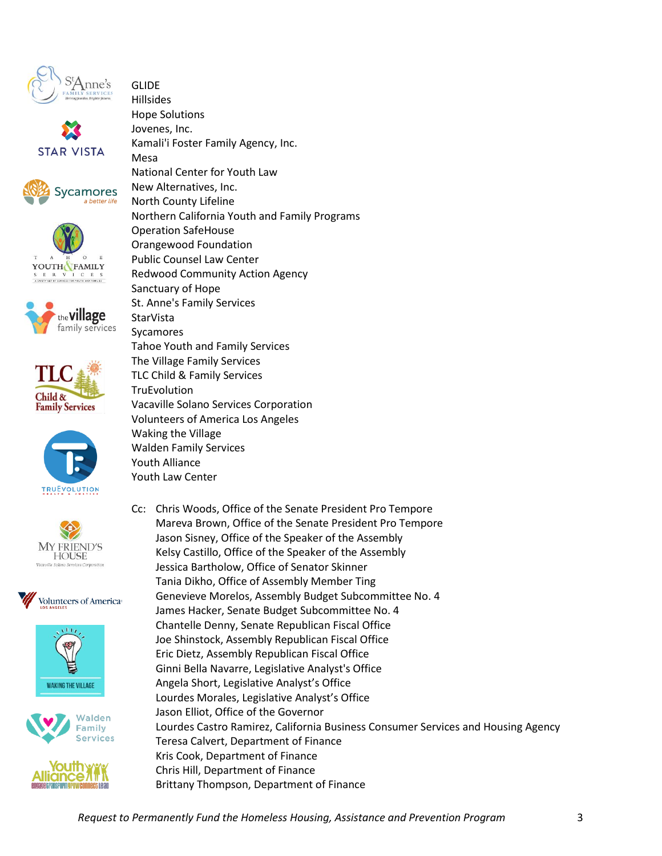























**GLIDE** Hillsides Hope Solutions Jovenes, Inc. Kamali'i Foster Family Agency, Inc. Mesa National Center for Youth Law New Alternatives, Inc. North County Lifeline Northern California Youth and Family Programs Operation SafeHouse Orangewood Foundation Public Counsel Law Center Redwood Community Action Agency Sanctuary of Hope St. Anne's Family Services **StarVista** Sycamores Tahoe Youth and Family Services The Village Family Services TLC Child & Family Services **TruEvolution** Vacaville Solano Services Corporation Volunteers of America Los Angeles Waking the Village Walden Family Services Youth Alliance Youth Law Center

Cc: Chris Woods, Office of the Senate President Pro Tempore Mareva Brown, Office of the Senate President Pro Tempore Jason Sisney, Office of the Speaker of the Assembly Kelsy Castillo, Office of the Speaker of the Assembly Jessica Bartholow, Office of Senator Skinner Tania Dikho, Office of Assembly Member Ting Genevieve Morelos, Assembly Budget Subcommittee No. 4 James Hacker, Senate Budget Subcommittee No. 4 Chantelle Denny, Senate Republican Fiscal Office Joe Shinstock, Assembly Republican Fiscal Office Eric Dietz, Assembly Republican Fiscal Office Ginni Bella Navarre, Legislative Analyst's Office Angela Short, Legislative Analyst's Office Lourdes Morales, Legislative Analyst's Office Jason Elliot, Office of the Governor Lourdes Castro Ramirez, California Business Consumer Services and Housing Agency Teresa Calvert, Department of Finance Kris Cook, Department of Finance Chris Hill, Department of Finance Brittany Thompson, Department of Finance